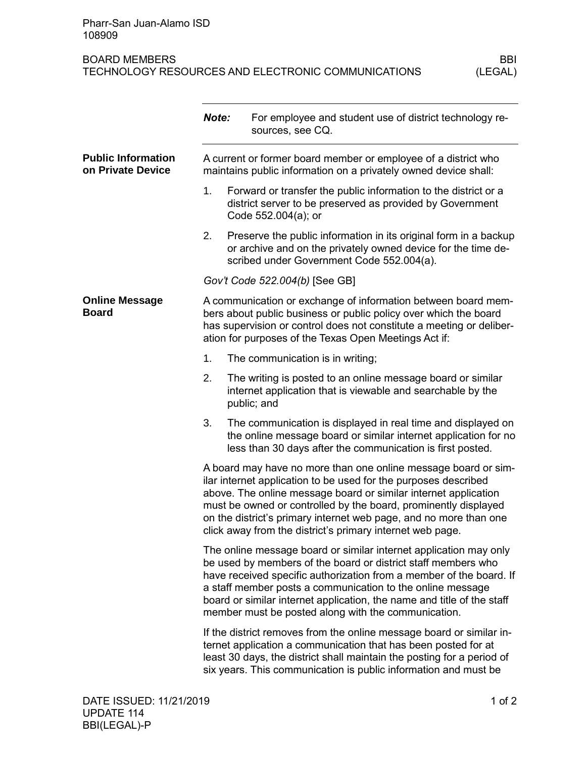## BOARD MEMBERS<br>TECHNOLOGY RESOURCES AND ELECTRONIC COMMUNICATIONS (LEGAL) TECHNOLOGY RESOURCES AND ELECTRONIC COMMUNICATIONS

|                                                | Note:                                                                                                                                                                                                                                                                                                                                                                                                     | For employee and student use of district technology re-<br>sources, see CQ.                                                                                                                                                                                                         |  |
|------------------------------------------------|-----------------------------------------------------------------------------------------------------------------------------------------------------------------------------------------------------------------------------------------------------------------------------------------------------------------------------------------------------------------------------------------------------------|-------------------------------------------------------------------------------------------------------------------------------------------------------------------------------------------------------------------------------------------------------------------------------------|--|
| <b>Public Information</b><br>on Private Device | A current or former board member or employee of a district who<br>maintains public information on a privately owned device shall:                                                                                                                                                                                                                                                                         |                                                                                                                                                                                                                                                                                     |  |
|                                                | 1.                                                                                                                                                                                                                                                                                                                                                                                                        | Forward or transfer the public information to the district or a<br>district server to be preserved as provided by Government<br>Code 552.004(a); or                                                                                                                                 |  |
|                                                | 2.                                                                                                                                                                                                                                                                                                                                                                                                        | Preserve the public information in its original form in a backup<br>or archive and on the privately owned device for the time de-<br>scribed under Government Code 552.004(a).                                                                                                      |  |
|                                                | Gov't Code 522.004(b) [See GB]                                                                                                                                                                                                                                                                                                                                                                            |                                                                                                                                                                                                                                                                                     |  |
| <b>Online Message</b><br><b>Board</b>          |                                                                                                                                                                                                                                                                                                                                                                                                           | A communication or exchange of information between board mem-<br>bers about public business or public policy over which the board<br>has supervision or control does not constitute a meeting or deliber-<br>ation for purposes of the Texas Open Meetings Act if:                  |  |
|                                                | 1.                                                                                                                                                                                                                                                                                                                                                                                                        | The communication is in writing;                                                                                                                                                                                                                                                    |  |
|                                                | 2.                                                                                                                                                                                                                                                                                                                                                                                                        | The writing is posted to an online message board or similar<br>internet application that is viewable and searchable by the<br>public; and                                                                                                                                           |  |
|                                                | 3.                                                                                                                                                                                                                                                                                                                                                                                                        | The communication is displayed in real time and displayed on<br>the online message board or similar internet application for no<br>less than 30 days after the communication is first posted.                                                                                       |  |
|                                                | A board may have no more than one online message board or sim-<br>ilar internet application to be used for the purposes described<br>above. The online message board or similar internet application<br>must be owned or controlled by the board, prominently displayed<br>on the district's primary internet web page, and no more than one<br>click away from the district's primary internet web page. |                                                                                                                                                                                                                                                                                     |  |
|                                                | The online message board or similar internet application may only<br>be used by members of the board or district staff members who<br>have received specific authorization from a member of the board. If<br>a staff member posts a communication to the online message<br>board or similar internet application, the name and title of the staff<br>member must be posted along with the communication.  |                                                                                                                                                                                                                                                                                     |  |
|                                                |                                                                                                                                                                                                                                                                                                                                                                                                           | If the district removes from the online message board or similar in-<br>ternet application a communication that has been posted for at<br>least 30 days, the district shall maintain the posting for a period of<br>six years. This communication is public information and must be |  |